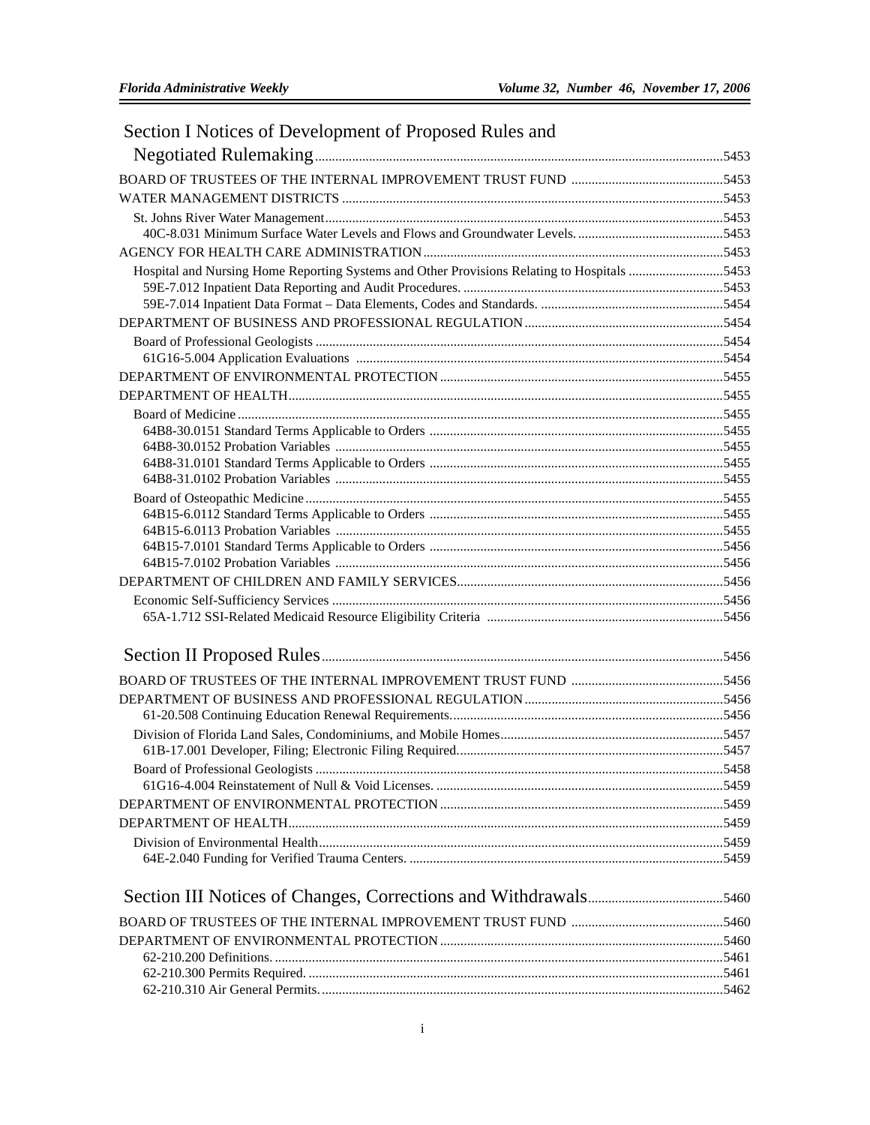| Section I Notices of Development of Proposed Rules and                                      |  |
|---------------------------------------------------------------------------------------------|--|
|                                                                                             |  |
|                                                                                             |  |
|                                                                                             |  |
|                                                                                             |  |
|                                                                                             |  |
|                                                                                             |  |
| Hospital and Nursing Home Reporting Systems and Other Provisions Relating to Hospitals 5453 |  |
|                                                                                             |  |
|                                                                                             |  |
|                                                                                             |  |
|                                                                                             |  |
|                                                                                             |  |
|                                                                                             |  |
|                                                                                             |  |
|                                                                                             |  |
|                                                                                             |  |
|                                                                                             |  |
|                                                                                             |  |
|                                                                                             |  |
|                                                                                             |  |
|                                                                                             |  |
|                                                                                             |  |
|                                                                                             |  |
|                                                                                             |  |
|                                                                                             |  |
|                                                                                             |  |
|                                                                                             |  |
|                                                                                             |  |
|                                                                                             |  |
|                                                                                             |  |
|                                                                                             |  |
|                                                                                             |  |
|                                                                                             |  |
|                                                                                             |  |
|                                                                                             |  |
|                                                                                             |  |
|                                                                                             |  |
|                                                                                             |  |
|                                                                                             |  |
|                                                                                             |  |
|                                                                                             |  |
|                                                                                             |  |
|                                                                                             |  |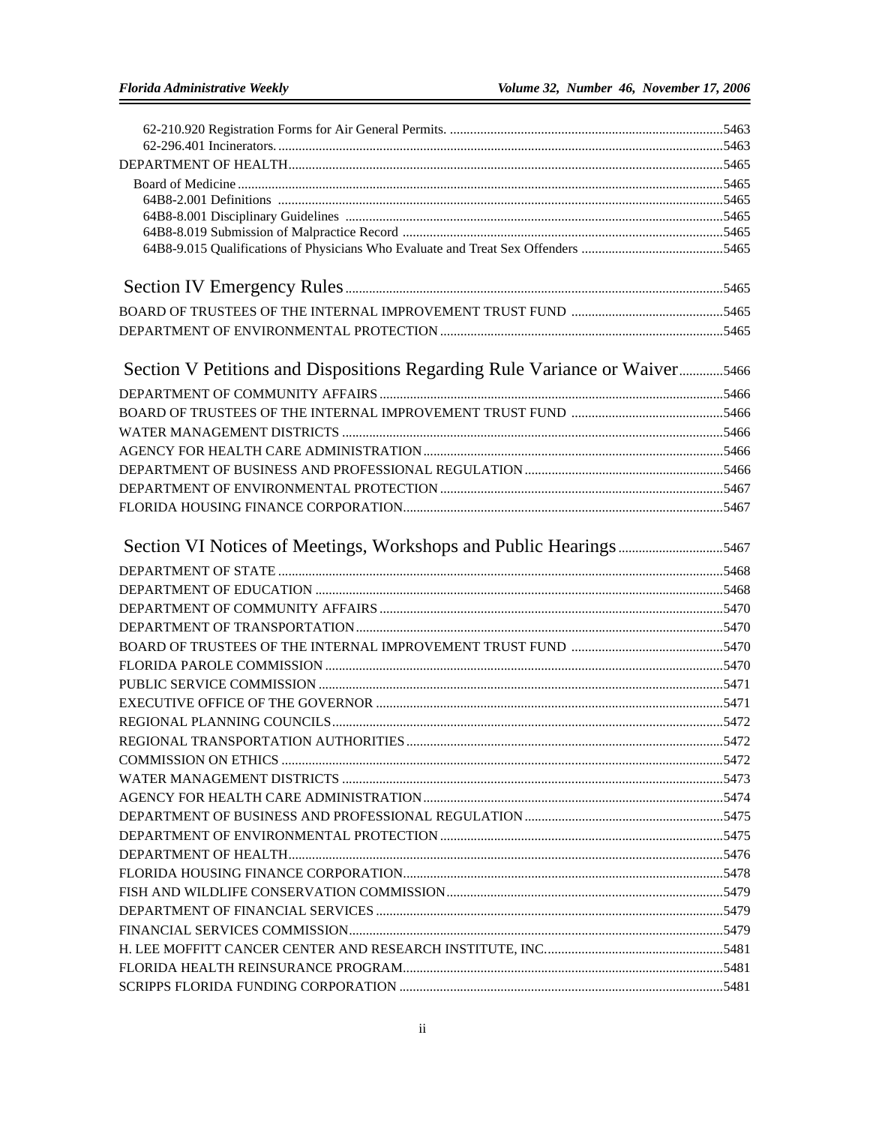| Section V Petitions and Dispositions Regarding Rule Variance or Waiver5466 |  |
|----------------------------------------------------------------------------|--|
|                                                                            |  |
|                                                                            |  |
|                                                                            |  |
|                                                                            |  |
|                                                                            |  |
|                                                                            |  |
|                                                                            |  |
|                                                                            |  |
|                                                                            |  |
|                                                                            |  |
|                                                                            |  |
|                                                                            |  |
|                                                                            |  |
|                                                                            |  |
|                                                                            |  |
|                                                                            |  |
|                                                                            |  |
|                                                                            |  |
|                                                                            |  |
|                                                                            |  |
|                                                                            |  |
|                                                                            |  |
|                                                                            |  |
|                                                                            |  |
|                                                                            |  |
|                                                                            |  |
|                                                                            |  |
|                                                                            |  |
|                                                                            |  |
|                                                                            |  |
|                                                                            |  |